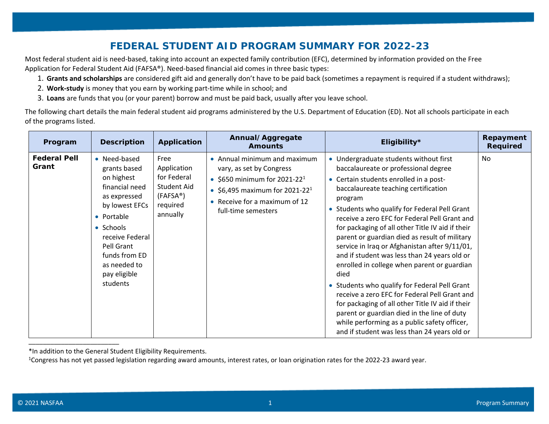## **FEDERAL STUDENT AID PROGRAM SUMMARY FOR 2022-23**

Most federal student aid is need-based, taking into account an expected family contribution (EFC), determined by information provided on the Free Application for Federal Student Aid (FAFSA®). Need-based financial aid comes in three basic types:

- 1. **Grants and scholarships** are considered gift aid and generally don't have to be paid back (sometimes a repayment is required if a student withdraws);
- 2. **Work-study** is money that you earn by working part-time while in school; and
- 3. **Loans** are funds that you (or your parent) borrow and must be paid back, usually after you leave school.

The following chart details the main federal student aid programs administered by the U.S. Department of Education (ED). Not all schools participate in each of the programs listed.

| Program                      | <b>Description</b>                                                                                                                                                                                                      | Application                                                                                               | Annual/Aggregate<br><b>Amounts</b>                                                                                                                                                                         | Eligibility*                                                                                                                                                                                                                                                                                                                                                                                                                                                                                                                                                                                                                                                                                                                                                                                                                                    | Repayment<br><b>Required</b> |
|------------------------------|-------------------------------------------------------------------------------------------------------------------------------------------------------------------------------------------------------------------------|-----------------------------------------------------------------------------------------------------------|------------------------------------------------------------------------------------------------------------------------------------------------------------------------------------------------------------|-------------------------------------------------------------------------------------------------------------------------------------------------------------------------------------------------------------------------------------------------------------------------------------------------------------------------------------------------------------------------------------------------------------------------------------------------------------------------------------------------------------------------------------------------------------------------------------------------------------------------------------------------------------------------------------------------------------------------------------------------------------------------------------------------------------------------------------------------|------------------------------|
| <b>Federal Pell</b><br>Grant | • Need-based<br>grants based<br>on highest<br>financial need<br>as expressed<br>by lowest EFCs<br>• Portable<br>• Schools<br>receive Federal<br>Pell Grant<br>funds from ED<br>as needed to<br>pay eligible<br>students | Free<br>Application<br>for Federal<br><b>Student Aid</b><br>(FAFSA <sup>®</sup> )<br>required<br>annually | • Annual minimum and maximum<br>vary, as set by Congress<br>• \$650 minimum for 2021-22 <sup>1</sup><br>• \$6,495 maximum for 2021-22 <sup>1</sup><br>• Receive for a maximum of 12<br>full-time semesters | • Undergraduate students without first<br>baccalaureate or professional degree<br>• Certain students enrolled in a post-<br>baccalaureate teaching certification<br>program<br>• Students who qualify for Federal Pell Grant<br>receive a zero EFC for Federal Pell Grant and<br>for packaging of all other Title IV aid if their<br>parent or guardian died as result of military<br>service in Iraq or Afghanistan after 9/11/01,<br>and if student was less than 24 years old or<br>enrolled in college when parent or guardian<br>died<br>• Students who qualify for Federal Pell Grant<br>receive a zero EFC for Federal Pell Grant and<br>for packaging of all other Title IV aid if their<br>parent or guardian died in the line of duty<br>while performing as a public safety officer,<br>and if student was less than 24 years old or | No.                          |

<sup>\*</sup>In addition to the General Student Eligibility Requirements.

 $1$ Congress has not yet passed legislation regarding award amounts, interest rates, or loan origination rates for the 2022-23 award year.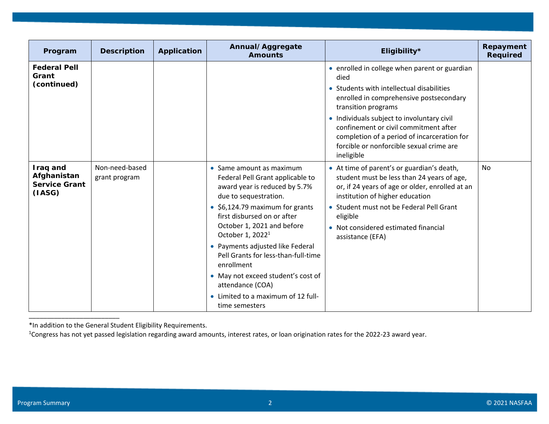| Program                                                   | <b>Description</b>              | <b>Application</b> | Annual/Aggregate<br><b>Amounts</b>                                                                                                                                                                                                                                                                                                                                                                                                                                        | Eligibility*                                                                                                                                                                                                                                                                                                                                                         | Repayment<br><b>Required</b> |
|-----------------------------------------------------------|---------------------------------|--------------------|---------------------------------------------------------------------------------------------------------------------------------------------------------------------------------------------------------------------------------------------------------------------------------------------------------------------------------------------------------------------------------------------------------------------------------------------------------------------------|----------------------------------------------------------------------------------------------------------------------------------------------------------------------------------------------------------------------------------------------------------------------------------------------------------------------------------------------------------------------|------------------------------|
| <b>Federal Pell</b><br>Grant<br>(continued)               |                                 |                    |                                                                                                                                                                                                                                                                                                                                                                                                                                                                           | • enrolled in college when parent or guardian<br>died<br>• Students with intellectual disabilities<br>enrolled in comprehensive postsecondary<br>transition programs<br>• Individuals subject to involuntary civil<br>confinement or civil commitment after<br>completion of a period of incarceration for<br>forcible or nonforcible sexual crime are<br>ineligible |                              |
| Iraq and<br>Afghanistan<br><b>Service Grant</b><br>(IASG) | Non-need-based<br>grant program |                    | • Same amount as maximum<br>Federal Pell Grant applicable to<br>award year is reduced by 5.7%<br>due to sequestration.<br>$\bullet$ \$6,124.79 maximum for grants<br>first disbursed on or after<br>October 1, 2021 and before<br>October 1, 2022 <sup>1</sup><br>• Payments adjusted like Federal<br>Pell Grants for less-than-full-time<br>enrollment<br>• May not exceed student's cost of<br>attendance (COA)<br>• Limited to a maximum of 12 full-<br>time semesters | • At time of parent's or guardian's death,<br>student must be less than 24 years of age,<br>or, if 24 years of age or older, enrolled at an<br>institution of higher education<br>• Student must not be Federal Pell Grant<br>eligible<br>• Not considered estimated financial<br>assistance (EFA)                                                                   | No                           |

\*In addition to the General Student Eligibility Requirements.

<sup>1</sup>Congress has not yet passed legislation regarding award amounts, interest rates, or loan origination rates for the 2022-23 award year.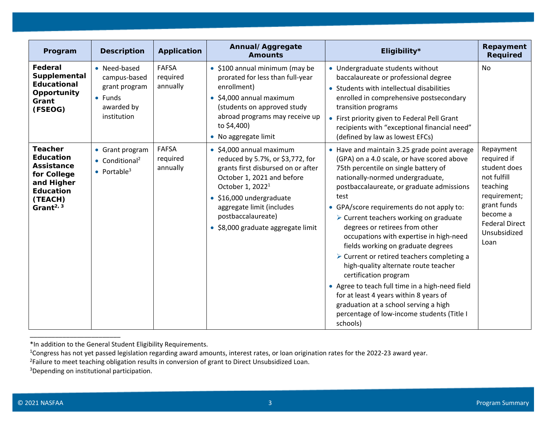| Program                                                                                                                                                   | <b>Description</b>                                                                            | <b>Application</b>                   | Annual/Aggregate<br><b>Amounts</b>                                                                                                                                                                                                                                                            | Eligibility*                                                                                                                                                                                                                                                                                                                                                                                                                                                                                                                                                                                                                                                                                                                                                        | Repayment<br><b>Required</b>                                                                                                                                    |
|-----------------------------------------------------------------------------------------------------------------------------------------------------------|-----------------------------------------------------------------------------------------------|--------------------------------------|-----------------------------------------------------------------------------------------------------------------------------------------------------------------------------------------------------------------------------------------------------------------------------------------------|---------------------------------------------------------------------------------------------------------------------------------------------------------------------------------------------------------------------------------------------------------------------------------------------------------------------------------------------------------------------------------------------------------------------------------------------------------------------------------------------------------------------------------------------------------------------------------------------------------------------------------------------------------------------------------------------------------------------------------------------------------------------|-----------------------------------------------------------------------------------------------------------------------------------------------------------------|
| Federal<br>Supplemental<br><b>Educational</b><br>Opportunity<br>Grant<br>(FSEOG)                                                                          | • Need-based<br>campus-based<br>grant program<br>$\bullet$ Funds<br>awarded by<br>institution | <b>FAFSA</b><br>required<br>annually | • \$100 annual minimum (may be<br>prorated for less than full-year<br>enrollment)<br>\$4,000 annual maximum<br>$\bullet$<br>(students on approved study<br>abroad programs may receive up<br>to \$4,400)<br>• No aggregate limit                                                              | • Undergraduate students without<br>baccalaureate or professional degree<br>• Students with intellectual disabilities<br>enrolled in comprehensive postsecondary<br>transition programs<br>• First priority given to Federal Pell Grant<br>recipients with "exceptional financial need"<br>(defined by law as lowest EFCs)                                                                                                                                                                                                                                                                                                                                                                                                                                          | <b>No</b>                                                                                                                                                       |
| <b>Teacher</b><br><b>Education</b><br><b>Assistance</b><br>for College<br>and Higher<br><b>Education</b><br>(TEACH)<br>Grant <sup><math>2, 3</math></sup> | • Grant program<br>$\bullet$ Conditional <sup>2</sup><br>• Portable <sup>3</sup>              | <b>FAFSA</b><br>required<br>annually | $\bullet$ \$4,000 annual maximum<br>reduced by 5.7%, or \$3,772, for<br>grants first disbursed on or after<br>October 1, 2021 and before<br>October 1, 2022 <sup>1</sup><br>· \$16,000 undergraduate<br>aggregate limit (includes<br>postbaccalaureate)<br>• \$8,000 graduate aggregate limit | • Have and maintain 3.25 grade point average<br>(GPA) on a 4.0 scale, or have scored above<br>75th percentile on single battery of<br>nationally-normed undergraduate,<br>postbaccalaureate, or graduate admissions<br>test<br>• GPA/score requirements do not apply to:<br>$\triangleright$ Current teachers working on graduate<br>degrees or retirees from other<br>occupations with expertise in high-need<br>fields working on graduate degrees<br>> Current or retired teachers completing a<br>high-quality alternate route teacher<br>certification program<br>• Agree to teach full time in a high-need field<br>for at least 4 years within 8 years of<br>graduation at a school serving a high<br>percentage of low-income students (Title I<br>schools) | Repayment<br>required if<br>student does<br>not fulfill<br>teaching<br>requirement;<br>grant funds<br>become a<br><b>Federal Direct</b><br>Unsubsidized<br>Loan |

<sup>\*</sup>In addition to the General Student Eligibility Requirements.

<sup>&</sup>lt;sup>1</sup>Congress has not yet passed legislation regarding award amounts, interest rates, or loan origination rates for the 2022-23 award year.

<sup>&</sup>lt;sup>2</sup>Failure to meet teaching obligation results in conversion of grant to Direct Unsubsidized Loan.

<sup>3</sup>Depending on institutional participation.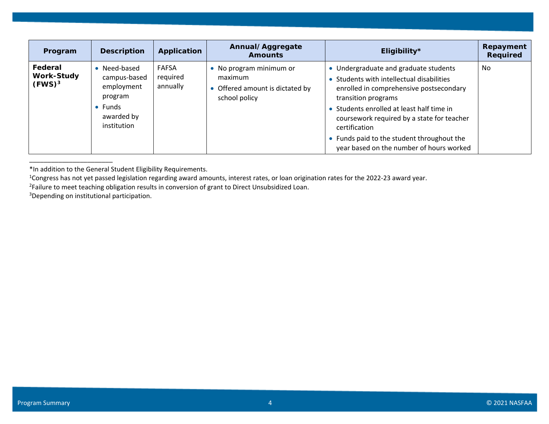| Program                                   | <b>Description</b>                                                                        | Application                          | Annual/Aggregate<br><b>Amounts</b>                                                     | Eligibility*                                                                                                                                                                                                                                                                                                                                               | Repayment<br>Required |
|-------------------------------------------|-------------------------------------------------------------------------------------------|--------------------------------------|----------------------------------------------------------------------------------------|------------------------------------------------------------------------------------------------------------------------------------------------------------------------------------------------------------------------------------------------------------------------------------------------------------------------------------------------------------|-----------------------|
| Federal<br><b>Work-Study</b><br>$(FWS)^3$ | Need-based<br>campus-based<br>employment<br>program<br>Funds<br>awarded by<br>institution | <b>FAFSA</b><br>required<br>annually | • No program minimum or<br>maximum<br>• Offered amount is dictated by<br>school policy | • Undergraduate and graduate students<br>• Students with intellectual disabilities<br>enrolled in comprehensive postsecondary<br>transition programs<br>• Students enrolled at least half time in<br>coursework required by a state for teacher<br>certification<br>• Funds paid to the student throughout the<br>year based on the number of hours worked | No                    |

<sup>\*</sup>In addition to the General Student Eligibility Requirements.

<sup>2</sup>Failure to meet teaching obligation results in conversion of grant to Direct Unsubsidized Loan.

3Depending on institutional participation.

\_\_\_\_\_\_\_\_\_\_\_\_\_\_\_\_\_\_\_\_\_\_\_

<sup>&</sup>lt;sup>1</sup>Congress has not yet passed legislation regarding award amounts, interest rates, or loan origination rates for the 2022-23 award year.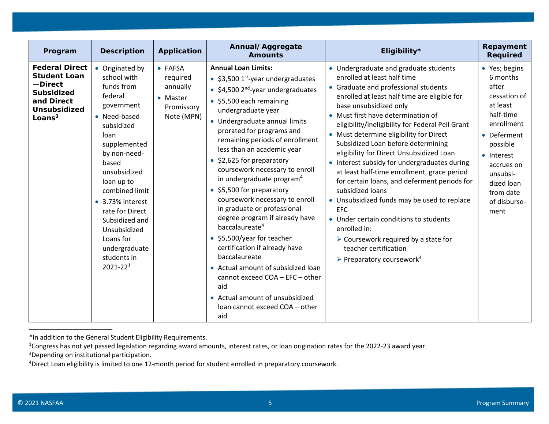| Program                                                                                                                        | <b>Description</b>                                                                                                                                                                                                                                                                                                                         | Application                                                             | Annual/Aggregate<br><b>Amounts</b>                                                                                                                                                                                                                                                                                                                                                                                                                                                                                                                                                                                                                                                                                                                                                                               | Eligibility*                                                                                                                                                                                                                                                                                                                                                                                                                                                                                                                                                                                                                                                                                                                                                                                                                                    | Repayment<br><b>Required</b>                                                                                                                                                                                    |
|--------------------------------------------------------------------------------------------------------------------------------|--------------------------------------------------------------------------------------------------------------------------------------------------------------------------------------------------------------------------------------------------------------------------------------------------------------------------------------------|-------------------------------------------------------------------------|------------------------------------------------------------------------------------------------------------------------------------------------------------------------------------------------------------------------------------------------------------------------------------------------------------------------------------------------------------------------------------------------------------------------------------------------------------------------------------------------------------------------------------------------------------------------------------------------------------------------------------------------------------------------------------------------------------------------------------------------------------------------------------------------------------------|-------------------------------------------------------------------------------------------------------------------------------------------------------------------------------------------------------------------------------------------------------------------------------------------------------------------------------------------------------------------------------------------------------------------------------------------------------------------------------------------------------------------------------------------------------------------------------------------------------------------------------------------------------------------------------------------------------------------------------------------------------------------------------------------------------------------------------------------------|-----------------------------------------------------------------------------------------------------------------------------------------------------------------------------------------------------------------|
| <b>Federal Direct</b><br><b>Student Loan</b><br>-Direct<br><b>Subsidized</b><br>and Direct<br><b>Unsubsidized</b><br>Loans $3$ | • Originated by<br>school with<br>funds from<br>federal<br>government<br>• Need-based<br>subsidized<br>loan<br>supplemented<br>by non-need-<br>based<br>unsubsidized<br>loan up to<br>combined limit<br>• 3.73% interest<br>rate for Direct<br>Subsidized and<br>Unsubsidized<br>Loans for<br>undergraduate<br>students in<br>$2021 - 221$ | • FAFSA<br>required<br>annually<br>• Master<br>Promissory<br>Note (MPN) | <b>Annual Loan Limits:</b><br>• \$3,500 $1st$ -year undergraduates<br>• \$4,500 $2^{nd}$ -year undergraduates<br>• \$5,500 each remaining<br>undergraduate year<br>• Undergraduate annual limits<br>prorated for programs and<br>remaining periods of enrollment<br>less than an academic year<br>• \$2,625 for preparatory<br>coursework necessary to enroll<br>in undergraduate program <sup>4</sup><br>• \$5,500 for preparatory<br>coursework necessary to enroll<br>in graduate or professional<br>degree program if already have<br>baccalaureate <sup>4</sup><br>• \$5,500/year for teacher<br>certification if already have<br>baccalaureate<br>• Actual amount of subsidized loan<br>cannot exceed COA - EFC - other<br>aid<br>• Actual amount of unsubsidized<br>loan cannot exceed COA - other<br>aid | • Undergraduate and graduate students<br>enrolled at least half time<br>• Graduate and professional students<br>enrolled at least half time are eligible for<br>base unsubsidized only<br>• Must first have determination of<br>eligibility/ineligibility for Federal Pell Grant<br>• Must determine eligibility for Direct<br>Subsidized Loan before determining<br>eligibility for Direct Unsubsidized Loan<br>• Interest subsidy for undergraduates during<br>at least half-time enrollment, grace period<br>for certain loans, and deferment periods for<br>subsidized loans<br>• Unsubsidized funds may be used to replace<br><b>EFC</b><br>• Under certain conditions to students<br>enrolled in:<br>$\triangleright$ Coursework required by a state for<br>teacher certification<br>$\triangleright$ Preparatory coursework <sup>4</sup> | • Yes; begins<br>6 months<br>after<br>cessation of<br>at least<br>half-time<br>enrollment<br>• Deferment<br>possible<br>• Interest<br>accrues on<br>unsubsi-<br>dized loan<br>from date<br>of disburse-<br>ment |

<sup>\*</sup>In addition to the General Student Eligibility Requirements.

<sup>&</sup>lt;sup>1</sup>Congress has not yet passed legislation regarding award amounts, interest rates, or loan origination rates for the 2022-23 award year.

<sup>&</sup>lt;sup>3</sup>Depending on institutional participation.

<sup>4</sup>Direct Loan eligibility is limited to one 12-month period for student enrolled in preparatory coursework.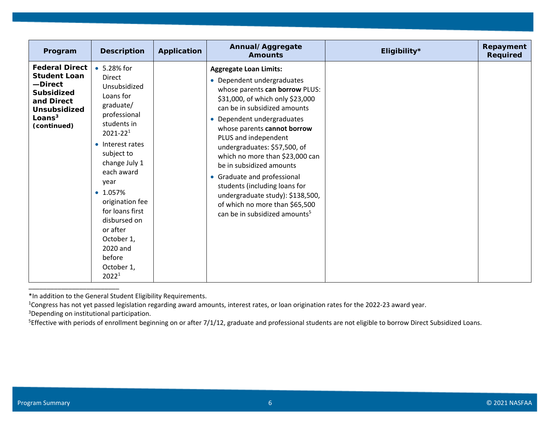| Program                                                                                                                                       | <b>Description</b>                                                                                                                                                                                                                                                                                                                                          | Application | Annual/Aggregate<br><b>Amounts</b>                                                                                                                                                                                                                                                                                                                                                                                                                                                                                                       | Eligibility* | Repayment<br>Required |
|-----------------------------------------------------------------------------------------------------------------------------------------------|-------------------------------------------------------------------------------------------------------------------------------------------------------------------------------------------------------------------------------------------------------------------------------------------------------------------------------------------------------------|-------------|------------------------------------------------------------------------------------------------------------------------------------------------------------------------------------------------------------------------------------------------------------------------------------------------------------------------------------------------------------------------------------------------------------------------------------------------------------------------------------------------------------------------------------------|--------------|-----------------------|
| <b>Federal Direct</b><br><b>Student Loan</b><br>-Direct<br><b>Subsidized</b><br>and Direct<br><b>Unsubsidized</b><br>Loans $3$<br>(continued) | • 5.28% for<br><b>Direct</b><br>Unsubsidized<br>Loans for<br>graduate/<br>professional<br>students in<br>$2021 - 221$<br>• Interest rates<br>subject to<br>change July 1<br>each award<br>year<br>$\bullet$ 1.057%<br>origination fee<br>for loans first<br>disbursed on<br>or after<br>October 1,<br>2020 and<br>before<br>October 1,<br>2022 <sup>1</sup> |             | <b>Aggregate Loan Limits:</b><br>• Dependent undergraduates<br>whose parents can borrow PLUS:<br>\$31,000, of which only \$23,000<br>can be in subsidized amounts<br>• Dependent undergraduates<br>whose parents cannot borrow<br>PLUS and independent<br>undergraduates: \$57,500, of<br>which no more than \$23,000 can<br>be in subsidized amounts<br>• Graduate and professional<br>students (including loans for<br>undergraduate study): \$138,500,<br>of which no more than \$65,500<br>can be in subsidized amounts <sup>5</sup> |              |                       |

\*In addition to the General Student Eligibility Requirements.

<sup>1</sup>Congress has not yet passed legislation regarding award amounts, interest rates, or loan origination rates for the 2022-23 award year.

3Depending on institutional participation.

<sup>5</sup>Effective with periods of enrollment beginning on or after 7/1/12, graduate and professional students are not eligible to borrow Direct Subsidized Loans.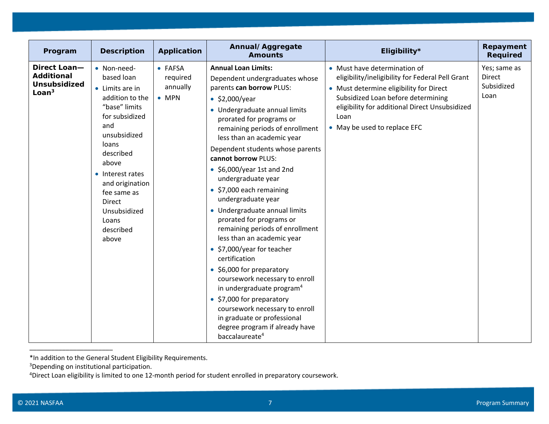| Program                                                                                         | <b>Description</b>                                                                                                                                                                                                                                                      | Application                                      | Annual/Aggregate<br><b>Amounts</b>                                                                                                                                                                                                                                                                                                                                                                                                                                                                                                                                                                                                                                                                                                                                                                                                                                           | Eligibility*                                                                                                                                                                                                                                                | Repayment<br><b>Required</b>                 |
|-------------------------------------------------------------------------------------------------|-------------------------------------------------------------------------------------------------------------------------------------------------------------------------------------------------------------------------------------------------------------------------|--------------------------------------------------|------------------------------------------------------------------------------------------------------------------------------------------------------------------------------------------------------------------------------------------------------------------------------------------------------------------------------------------------------------------------------------------------------------------------------------------------------------------------------------------------------------------------------------------------------------------------------------------------------------------------------------------------------------------------------------------------------------------------------------------------------------------------------------------------------------------------------------------------------------------------------|-------------------------------------------------------------------------------------------------------------------------------------------------------------------------------------------------------------------------------------------------------------|----------------------------------------------|
| <b>Direct Loan-</b><br><b>Additional</b><br><b>Unsubsidized</b><br>L <sub>oan<sup>3</sup></sub> | • Non-need-<br>based loan<br>• Limits are in<br>addition to the<br>"base" limits<br>for subsidized<br>and<br>unsubsidized<br>loans<br>described<br>above<br>• Interest rates<br>and origination<br>fee same as<br>Direct<br>Unsubsidized<br>Loans<br>described<br>above | • FAFSA<br>required<br>annually<br>$\bullet$ MPN | <b>Annual Loan Limits:</b><br>Dependent undergraduates whose<br>parents can borrow PLUS:<br>$\bullet$ \$2,000/year<br>• Undergraduate annual limits<br>prorated for programs or<br>remaining periods of enrollment<br>less than an academic year<br>Dependent students whose parents<br>cannot borrow PLUS:<br>$\bullet$ \$6,000/year 1st and 2nd<br>undergraduate year<br>• \$7,000 each remaining<br>undergraduate year<br>• Undergraduate annual limits<br>prorated for programs or<br>remaining periods of enrollment<br>less than an academic year<br>• \$7,000/year for teacher<br>certification<br>• \$6,000 for preparatory<br>coursework necessary to enroll<br>in undergraduate program <sup>4</sup><br>• \$7,000 for preparatory<br>coursework necessary to enroll<br>in graduate or professional<br>degree program if already have<br>baccalaureate <sup>4</sup> | • Must have determination of<br>eligibility/ineligibility for Federal Pell Grant<br>• Must determine eligibility for Direct<br>Subsidized Loan before determining<br>eligibility for additional Direct Unsubsidized<br>Loan<br>• May be used to replace EFC | Yes; same as<br>Direct<br>Subsidized<br>Loan |

<sup>\*</sup>In addition to the General Student Eligibility Requirements.

<sup>3</sup>Depending on institutional participation.

<sup>4</sup>Direct Loan eligibility is limited to one 12-month period for student enrolled in preparatory coursework.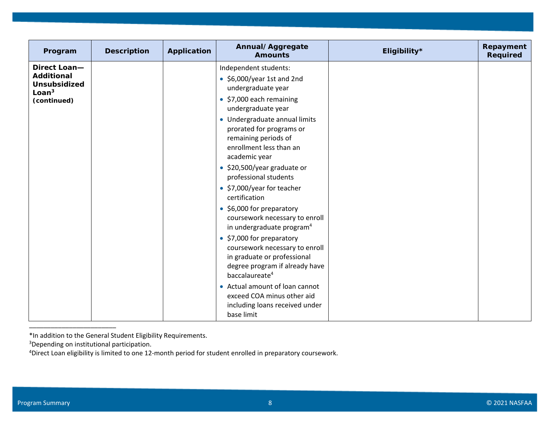| Program                                                                                      | <b>Description</b> | Application | Annual/Aggregate<br><b>Amounts</b>                                                                                                                         | Eligibility* | Repayment<br><b>Required</b> |
|----------------------------------------------------------------------------------------------|--------------------|-------------|------------------------------------------------------------------------------------------------------------------------------------------------------------|--------------|------------------------------|
| Direct Loan-<br><b>Additional</b><br><b>Unsubsidized</b><br>Loan <sup>3</sup><br>(continued) |                    |             | Independent students:<br>$\bullet$ \$6,000/year 1st and 2nd<br>undergraduate year<br>• \$7,000 each remaining<br>undergraduate year                        |              |                              |
|                                                                                              |                    |             | • Undergraduate annual limits<br>prorated for programs or<br>remaining periods of<br>enrollment less than an<br>academic year                              |              |                              |
|                                                                                              |                    |             | • \$20,500/year graduate or<br>professional students                                                                                                       |              |                              |
|                                                                                              |                    |             | • \$7,000/year for teacher<br>certification                                                                                                                |              |                              |
|                                                                                              |                    |             | • \$6,000 for preparatory<br>coursework necessary to enroll<br>in undergraduate program <sup>4</sup>                                                       |              |                              |
|                                                                                              |                    |             | • \$7,000 for preparatory<br>coursework necessary to enroll<br>in graduate or professional<br>degree program if already have<br>baccalaureate <sup>4</sup> |              |                              |
|                                                                                              |                    |             | • Actual amount of loan cannot<br>exceed COA minus other aid<br>including loans received under<br>base limit                                               |              |                              |

<sup>\*</sup>In addition to the General Student Eligibility Requirements.

<sup>3</sup>Depending on institutional participation.

<sup>4</sup>Direct Loan eligibility is limited to one 12-month period for student enrolled in preparatory coursework.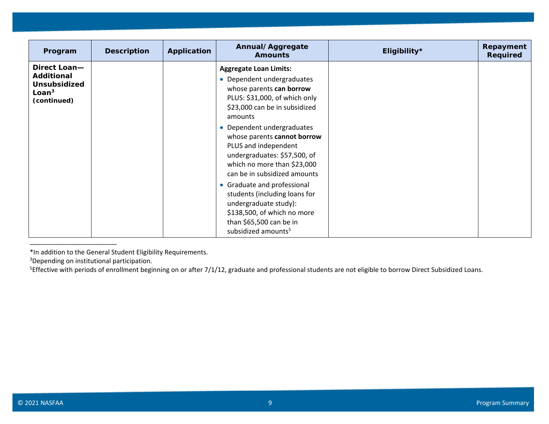| Program                                                                                      | <b>Description</b> | Application | Annual/Aggregate<br><b>Amounts</b>                                                                                                                                                                                                                                                                                                                       | Eligibility* | Repayment<br>Required |
|----------------------------------------------------------------------------------------------|--------------------|-------------|----------------------------------------------------------------------------------------------------------------------------------------------------------------------------------------------------------------------------------------------------------------------------------------------------------------------------------------------------------|--------------|-----------------------|
| Direct Loan-<br><b>Additional</b><br><b>Unsubsidized</b><br>$\mathsf{Loan}^3$<br>(continued) |                    |             | <b>Aggregate Loan Limits:</b><br>• Dependent undergraduates<br>whose parents can borrow<br>PLUS: \$31,000, of which only<br>\$23,000 can be in subsidized<br>amounts<br>• Dependent undergraduates<br>whose parents cannot borrow<br>PLUS and independent<br>undergraduates: \$57,500, of<br>which no more than \$23,000<br>can be in subsidized amounts |              |                       |
|                                                                                              |                    |             | • Graduate and professional<br>students (including loans for<br>undergraduate study):<br>\$138,500, of which no more<br>than \$65,500 can be in<br>subsidized amounts <sup>5</sup>                                                                                                                                                                       |              |                       |

<sup>\*</sup>In addition to the General Student Eligibility Requirements.

<sup>3</sup>Depending on institutional participation.

\_\_\_\_\_\_\_\_\_\_\_\_\_\_\_\_\_\_\_\_\_\_\_\_

<sup>5</sup>Effective with periods of enrollment beginning on or after 7/1/12, graduate and professional students are not eligible to borrow Direct Subsidized Loans.